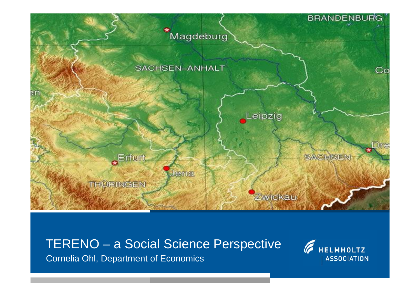

Cornelia Ohl, Department of Economics

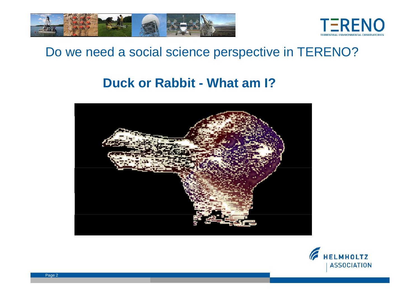



#### Do we need a social science perspective in TERENO?

#### **Duck or Rabbit - What am I?**



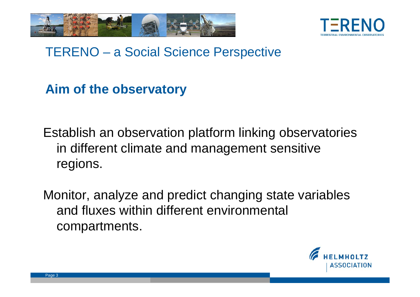



**Aim of the observatory**

Establish an observation platform linking observatories in different climate and management sensitive regions.

Monitor, analyze and predict changing state variables and fluxes within different environmental compartments.

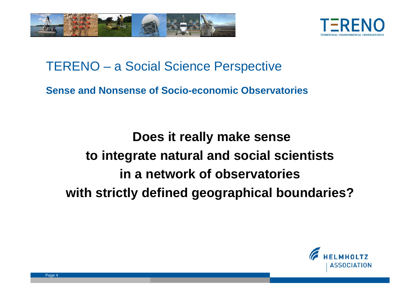



**Sense and Nonsense of Socio-economic Observatories** 

**Does it really make sense to integrate natural and social scientists in a network of observatories with strictly defined geographical boundaries?**

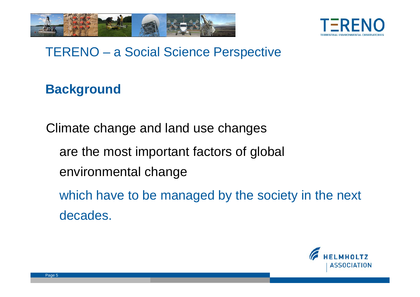



## **Background**

Climate change and land use changes

are the most important factors of global

environmental change

which have to be managed by the society in the next decades.

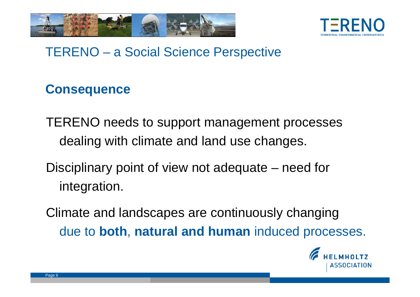



#### **Consequence**

- TERENO needs to support management processes dealing with climate and land use changes.
- Disciplinary point of view not adequate need for integration.
- Climate and landscapes are continuously changing due to **both**, **natural and human** induced processes.

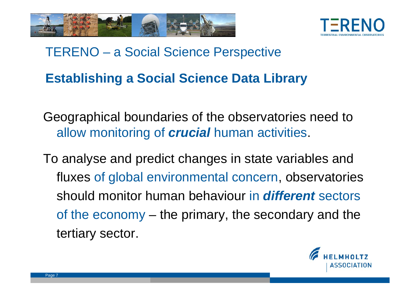



# TERENO – a Social Science Perspective **Establishing a Social Science Data Library**

Geographical boundaries of the observatories need to allow monitoring of *crucial* human activities.

To analyse and predict changes in state variables and fluxes of global environmental concern, observatories should monitor human behaviour in *different* sectors of the economy – the primary, the secondary and the tertiary sector.

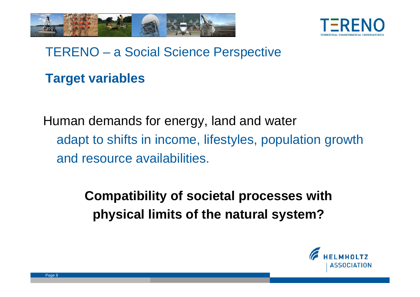



#### **Target variables**

Human demands for energy, land and water adapt to shifts in income, lifestyles, population growth and resource availabilities.

> **Compatibility of societal processes with physical limits of the natural system?**

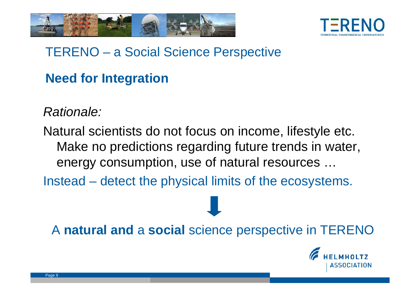



#### **Need for Integration**

*Rationale:*

Natural scientists do not focus on income, lifestyle etc. Make no predictions regarding future trends in water, energy consumption, use of natural resources …

Instead – detect the physical limits of the ecosystems.

A **natural and** a **social** science perspective in TERENO

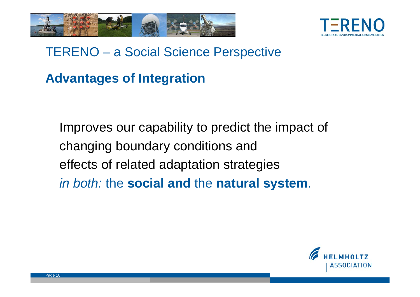



#### **Advantages of Integration**

Improves our capability to predict the impact of changing boundary conditions and effects of related adaptation strategies *in both:* the **social and** the **natural system**.

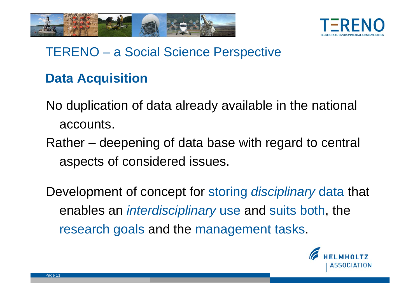



#### **Data Acquisition**

- No duplication of data already available in the national accounts.
- Rather deepening of data base with regard to central aspects of considered issues.

Development of concept for storing *disciplinary* data that enables an *interdisciplinary* use and suits both, the research goals and the management tasks.

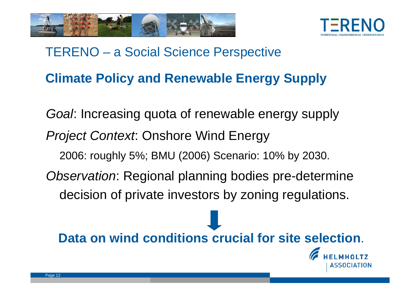



# TERENO – a Social Science Perspective **Climate Policy and Renewable Energy Supply**

*Goal*: Increasing quota of renewable energy supply *Project Context*: Onshore Wind Energy 2006: roughly 5%; BMU (2006) Scenario: 10% by 2030. *Observation*: Regional planning bodies pre-determine decision of private investors by zoning regulations.

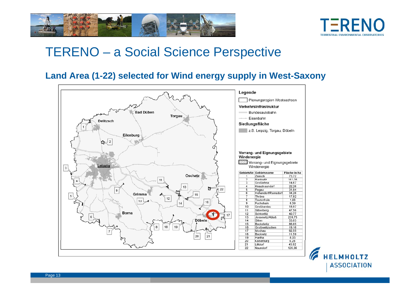



#### **Land Area (1-22) selected for Wind energy supply in West-Saxony**



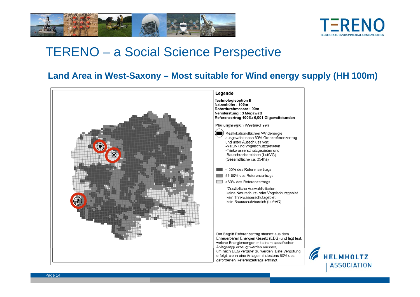



#### **Land Area in West-Saxony – Most suitable for Wind energy supply (HH 100m)**

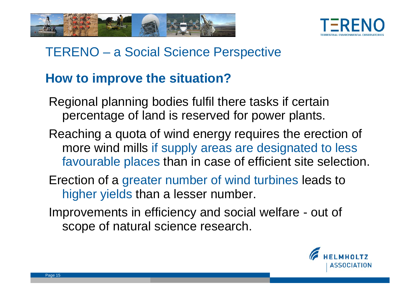



#### **How to improve the situation?**

- Regional planning bodies fulfil there tasks if certain percentage of land is reserved for power plants.
- Reaching a quota of wind energy requires the erection of more wind mills if supply areas are designated to less favourable places than in case of efficient site selection.
- Erection of a greater number of wind turbines leads to higher yields than a lesser number.
- Improvements in efficiency and social welfare out of scope of natural science research.

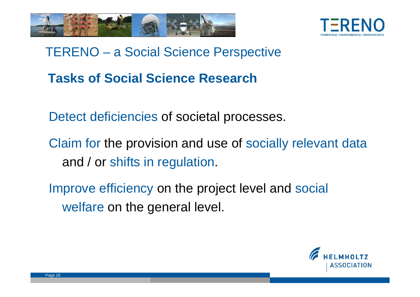



## TERENO – a Social Science Perspective **Tasks of Social Science Research**

Detect deficiencies of societal processes.

- Claim for the provision and use of socially relevant data and / or shifts in regulation.
- Improve efficiency on the project level and social welfare on the general level.

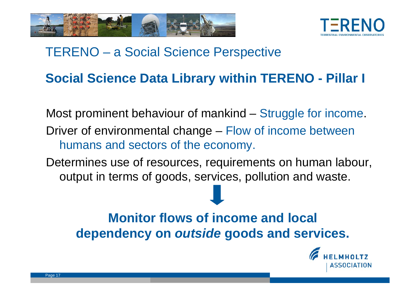



#### **Social Science Data Library within TERENO - Pillar I**

Most prominent behaviour of mankind – Struggle for income. Driver of environmental change – Flow of income between humans and sectors of the economy.

Determines use of resources, requirements on human labour, output in terms of goods, services, pollution and waste.

## **Monitor flows of income and local dependency on** *outside* **goods and services.**

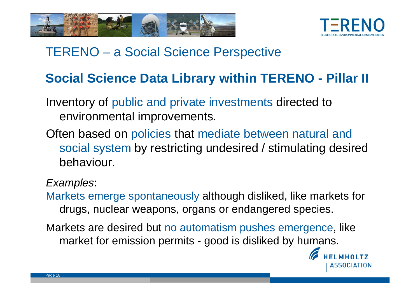



#### **Social Science Data Library within TERENO - Pillar II**

- Inventory of public and private investments directed to environmental improvements.
- Often based on policies that mediate between natural and social system by restricting undesired / stimulating desired behaviour.

#### *Examples*:

- Markets emerge spontaneously although disliked, like markets for drugs, nuclear weapons, organs or endangered species.
- Markets are desired but no automatism pushes emergence, like market for emission permits - good is disliked by humans.

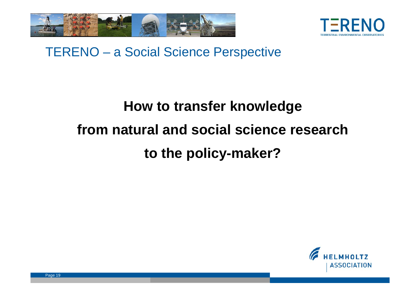



# **How to transfer knowledge from natural and social science research to the policy-maker?**

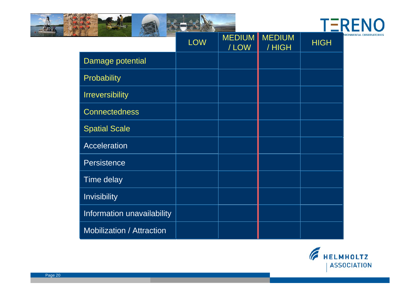



|                                  | <b>LOW</b> | <b>MEDIUM</b><br>/LOW | <b>MEDIUM</b><br>/HIGH | <b>HIGH</b> |
|----------------------------------|------------|-----------------------|------------------------|-------------|
| Damage potential                 |            |                       |                        |             |
| Probability                      |            |                       |                        |             |
| <b>Irreversibility</b>           |            |                       |                        |             |
| <b>Connectedness</b>             |            |                       |                        |             |
| <b>Spatial Scale</b>             |            |                       |                        |             |
| <b>Acceleration</b>              |            |                       |                        |             |
| <b>Persistence</b>               |            |                       |                        |             |
| Time delay                       |            |                       |                        |             |
| <b>Invisibility</b>              |            |                       |                        |             |
| Information unavailability       |            |                       |                        |             |
| <b>Mobilization / Attraction</b> |            |                       |                        |             |

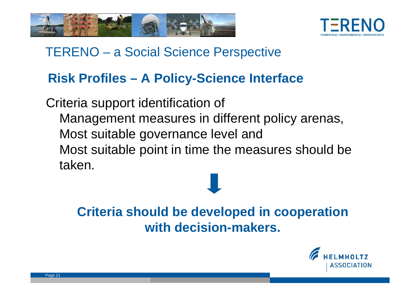



#### **Risk Profiles – A Policy-Science Interface**

Criteria support identification of Management measures in different policy arenas, Most suitable governance level and Most suitable point in time the measures should be taken.

> **Criteria should be developed in cooperation with decision-makers.**

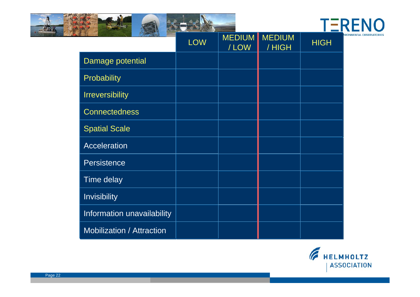



|                                  | <b>LOW</b> | <b>MEDIUM</b><br>/LOW | <b>MEDIUM</b><br>/HIGH | <b>HIGH</b> |
|----------------------------------|------------|-----------------------|------------------------|-------------|
| Damage potential                 |            |                       |                        |             |
| Probability                      |            |                       |                        |             |
| <b>Irreversibility</b>           |            |                       |                        |             |
| <b>Connectedness</b>             |            |                       |                        |             |
| <b>Spatial Scale</b>             |            |                       |                        |             |
| <b>Acceleration</b>              |            |                       |                        |             |
| <b>Persistence</b>               |            |                       |                        |             |
| Time delay                       |            |                       |                        |             |
| <b>Invisibility</b>              |            |                       |                        |             |
| Information unavailability       |            |                       |                        |             |
| <b>Mobilization / Attraction</b> |            |                       |                        |             |

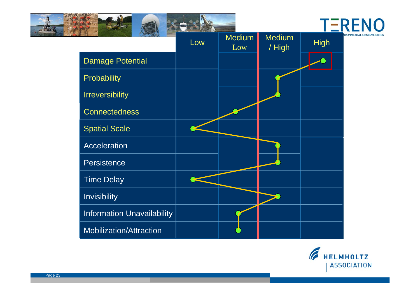

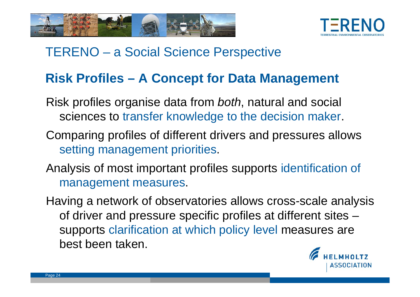



#### **Risk Profiles – A Concept for Data Management**

- Risk profiles organise data from *both*, natural and social sciences to transfer knowledge to the decision maker.
- Comparing profiles of different drivers and pressures allows setting management priorities.
- Analysis of most important profiles supports identification of management measures.
- Having a network of observatories allows cross-scale analysis of driver and pressure specific profiles at different sites – supports clarification at which policy level measures are best been taken.

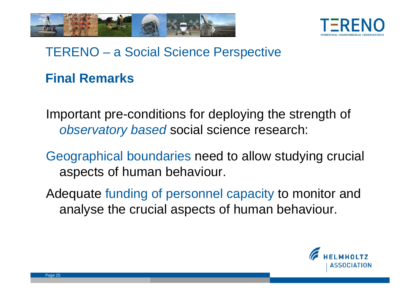



#### **Final Remarks**

Important pre-conditions for deploying the strength of *observatory based* social science research:

Geographical boundaries need to allow studying crucial aspects of human behaviour.

Adequate funding of personnel capacity to monitor and analyse the crucial aspects of human behaviour.